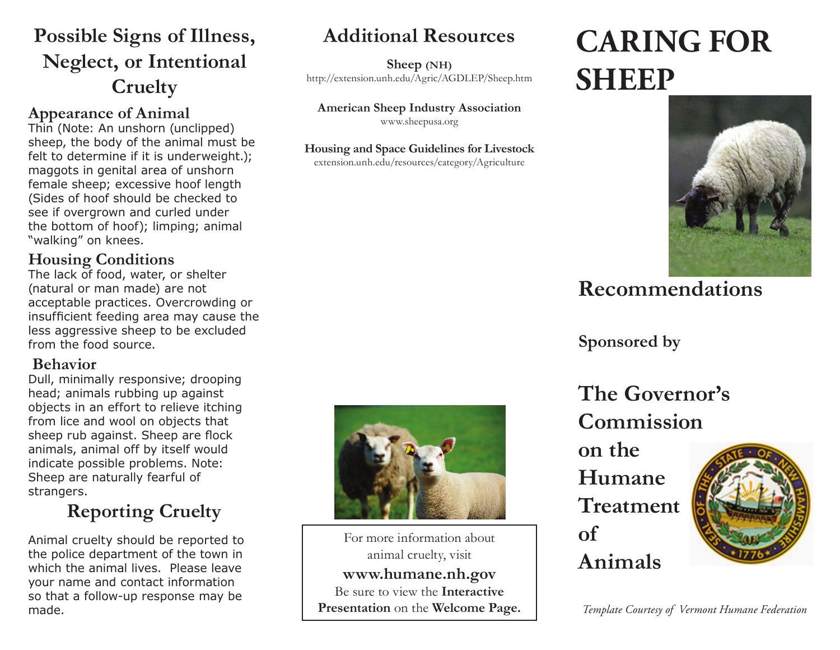# **Possible Signs of Illness, Neglect, or Intentional Cruelty**

### **Appearance of Animal**

Thin (Note: An unshorn (unclipped) sheep, the body of the animal must be felt to determine if it is underweight.); maggots in genital area of unshorn female sheep; excessive hoof length (Sides of hoof should be checked to see if overgrown and curled under the bottom of hoof); limping; animal "walking" on knees.

## **Housing Conditions**

The lack of food, water, or shelter (natural or man made) are not acceptable practices. Overcrowding or insufficient feeding area may cause the less aggressive sheep to be excluded from the food source.

## **Behavior**

Dull, minimally responsive; drooping head; animals rubbing up against objects in an effort to relieve itching from lice and wool on objects that sheep rub against. Sheep are flock animals, animal off by itself would indicate possible problems. Note: Sheep are naturally fearful of strangers.

# **Reporting Cruelty**

Animal cruelty should be reported to the police department of the town in which the animal lives. Please leave your name and contact information so that a follow-up response may be made.

# **Additional Resources**

**Sheep (NH)**  http://extension.unh.edu/Agric/AGDLEP/Sheep.htm

**American Sheep Industry Association** www.sheepusa.org

#### **Housing and Space Guidelines for Livestock**

extension.unh.edu/resources/category/Agriculture

# **CARING FOR SHEEP**



# **Recommendations**

**Sponsored by**

**The Governor's Commission** 

**on the Humane Treatment of Animals**



*Template Courtesy of Vermont Humane Federation* 



For more information about animal cruelty, visit **www.humane.nh.gov** Be sure to view the **Interactive Presentation** on the **Welcome Page.**